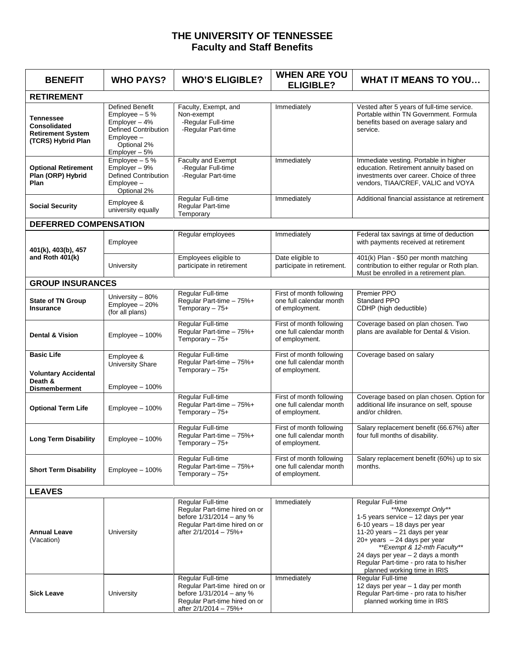## **THE UNIVERSITY OF TENNESSEE Faculty and Staff Benefits**

| <b>BENEFIT</b>                                                                     | <b>WHO PAYS?</b>                                                                                                                 | <b>WHO'S ELIGIBLE?</b>                                                                                                                   | <b>WHEN ARE YOU</b><br><b>ELIGIBLE?</b>                               | <b>WHAT IT MEANS TO YOU</b>                                                                                                                                                                                                                                                                                                           |  |  |  |  |
|------------------------------------------------------------------------------------|----------------------------------------------------------------------------------------------------------------------------------|------------------------------------------------------------------------------------------------------------------------------------------|-----------------------------------------------------------------------|---------------------------------------------------------------------------------------------------------------------------------------------------------------------------------------------------------------------------------------------------------------------------------------------------------------------------------------|--|--|--|--|
| <b>RETIREMENT</b>                                                                  |                                                                                                                                  |                                                                                                                                          |                                                                       |                                                                                                                                                                                                                                                                                                                                       |  |  |  |  |
| <b>Tennessee</b><br>Consolidated<br><b>Retirement System</b><br>(TCRS) Hybrid Plan | Defined Benefit<br>Employee $-5%$<br>Employer - 4%<br><b>Defined Contribution</b><br>$Employee-$<br>Optional 2%<br>Employer - 5% | Faculty, Exempt, and<br>Non-exempt<br>-Regular Full-time<br>-Regular Part-time                                                           | Immediately                                                           | Vested after 5 years of full-time service.<br>Portable within TN Government. Formula<br>benefits based on average salary and<br>service.                                                                                                                                                                                              |  |  |  |  |
| <b>Optional Retirement</b><br>Plan (ORP) Hybrid<br>Plan                            | Employee $-5%$<br>Employer - 9%<br><b>Defined Contribution</b><br>Employee -<br>Optional 2%                                      | Faculty and Exempt<br>-Regular Full-time<br>-Regular Part-time                                                                           | Immediately                                                           | Immediate vesting. Portable in higher<br>education. Retirement annuity based on<br>investments over career. Choice of three<br>vendors, TIAA/CREF, VALIC and VOYA                                                                                                                                                                     |  |  |  |  |
| <b>Social Security</b>                                                             | Employee &<br>university equally                                                                                                 | Regular Full-time<br>Regular Part-time<br>Temporary                                                                                      | Immediately                                                           | Additional financial assistance at retirement                                                                                                                                                                                                                                                                                         |  |  |  |  |
| <b>DEFERRED COMPENSATION</b>                                                       |                                                                                                                                  |                                                                                                                                          |                                                                       |                                                                                                                                                                                                                                                                                                                                       |  |  |  |  |
| 401(k), 403(b), 457<br>and Roth 401(k)                                             | Employee                                                                                                                         | Regular employees                                                                                                                        | Immediately                                                           | Federal tax savings at time of deduction<br>with payments received at retirement                                                                                                                                                                                                                                                      |  |  |  |  |
|                                                                                    | University                                                                                                                       | Employees eligible to<br>participate in retirement                                                                                       | Date eligible to<br>participate in retirement.                        | 401(k) Plan - \$50 per month matching<br>contribution to either regular or Roth plan.<br>Must be enrolled in a retirement plan.                                                                                                                                                                                                       |  |  |  |  |
| <b>GROUP INSURANCES</b>                                                            |                                                                                                                                  |                                                                                                                                          |                                                                       |                                                                                                                                                                                                                                                                                                                                       |  |  |  |  |
| <b>State of TN Group</b><br><b>Insurance</b>                                       | University - 80%<br>Employee - 20%<br>(for all plans)                                                                            | Regular Full-time<br>Regular Part-time - 75%+<br>Temporary $-75+$                                                                        | First of month following<br>one full calendar month<br>of employment. | Premier PPO<br><b>Standard PPO</b><br>CDHP (high deductible)                                                                                                                                                                                                                                                                          |  |  |  |  |
| Dental & Vision                                                                    | Employee - 100%                                                                                                                  | Regular Full-time<br>Regular Part-time - 75%+<br>Temporary $-75+$                                                                        | First of month following<br>one full calendar month<br>of employment. | Coverage based on plan chosen. Two<br>plans are available for Dental & Vision.                                                                                                                                                                                                                                                        |  |  |  |  |
| <b>Basic Life</b><br><b>Voluntary Accidental</b><br>Death &                        | Employee &<br><b>University Share</b>                                                                                            | Regular Full-time<br>Regular Part-time - 75%+<br>Temporary $-75+$                                                                        | First of month following<br>one full calendar month<br>of employment. | Coverage based on salary                                                                                                                                                                                                                                                                                                              |  |  |  |  |
| <b>Dismemberment</b>                                                               | Employee - 100%                                                                                                                  |                                                                                                                                          |                                                                       |                                                                                                                                                                                                                                                                                                                                       |  |  |  |  |
| <b>Optional Term Life</b>                                                          | Employee - 100%                                                                                                                  | Regular Full-time<br>Regular Part-time - 75%+<br>Temporary $-75+$                                                                        | First of month following<br>one full calendar month<br>of employment. | Coverage based on plan chosen. Option for<br>additional life insurance on self, spouse<br>and/or children.                                                                                                                                                                                                                            |  |  |  |  |
| <b>Long Term Disability</b>                                                        | Employee - 100%                                                                                                                  | Regular Full-time<br>Regular Part-time - 75%+<br>Temporary - 75+                                                                         | First of month following<br>one full calendar month<br>of employment. | Salary replacement benefit (66.67%) after<br>four full months of disability.                                                                                                                                                                                                                                                          |  |  |  |  |
| <b>Short Term Disability</b>                                                       | Employee - 100%                                                                                                                  | Regular Full-time<br>Regular Part-time - 75%+<br>Temporary $-75+$                                                                        | First of month following<br>one full calendar month<br>of employment. | Salary replacement benefit (60%) up to six<br>months.                                                                                                                                                                                                                                                                                 |  |  |  |  |
| <b>LEAVES</b>                                                                      |                                                                                                                                  |                                                                                                                                          |                                                                       |                                                                                                                                                                                                                                                                                                                                       |  |  |  |  |
| <b>Annual Leave</b><br>(Vacation)                                                  | University                                                                                                                       | Regular Full-time<br>Regular Part-time hired on or<br>before 1/31/2014 - any %<br>Regular Part-time hired on or<br>after 2/1/2014 - 75%+ | Immediately                                                           | Regular Full-time<br>**Nonexempt Only**<br>1-5 years service - 12 days per year<br>6-10 years - 18 days per year<br>11-20 years $-21$ days per year<br>$20+$ years $-24$ days per year<br>**Exempt & 12-mth Faculty**<br>24 days per year - 2 days a month<br>Regular Part-time - pro rata to his/her<br>planned working time in IRIS |  |  |  |  |
| <b>Sick Leave</b>                                                                  | University                                                                                                                       | Regular Full-time<br>Regular Part-time hired on or<br>before 1/31/2014 - any %<br>Regular Part-time hired on or<br>after 2/1/2014 - 75%+ | Immediately                                                           | Regular Full-time<br>12 days per year - 1 day per month<br>Regular Part-time - pro rata to his/her<br>planned working time in IRIS                                                                                                                                                                                                    |  |  |  |  |